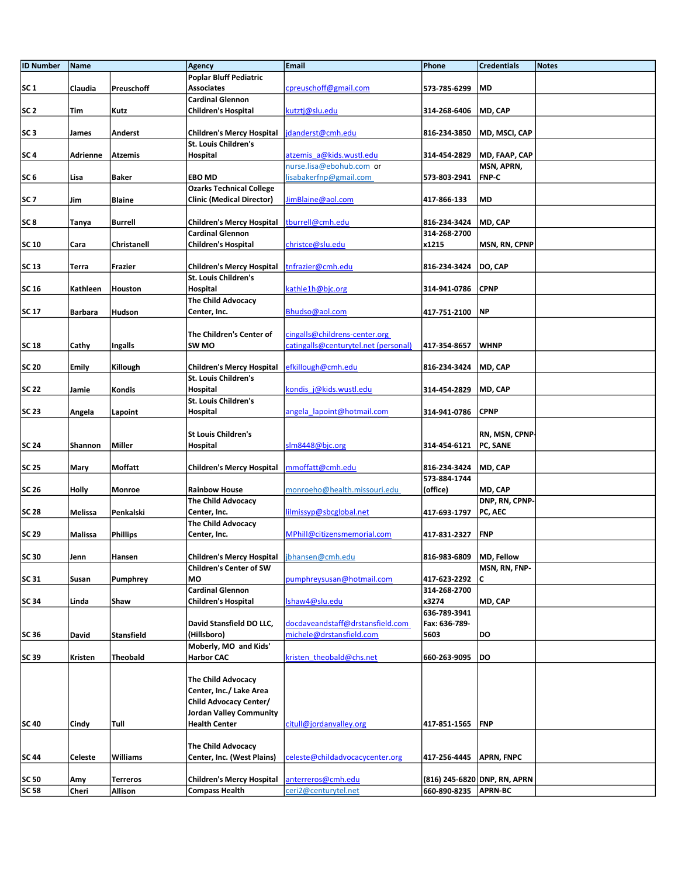| <b>ID Number</b> | Name           |                   | Agency                                                   | Email                                                | Phone                 | <b>Credentials</b>           | <b>Notes</b> |
|------------------|----------------|-------------------|----------------------------------------------------------|------------------------------------------------------|-----------------------|------------------------------|--------------|
|                  |                |                   | <b>Poplar Bluff Pediatric</b>                            |                                                      |                       |                              |              |
| SC <sub>1</sub>  | Claudia        | Preuschoff        | <b>Associates</b>                                        | cpreuschoff@gmail.com                                | 573-785-6299          | <b>MD</b>                    |              |
|                  |                |                   | <b>Cardinal Glennon</b>                                  |                                                      |                       |                              |              |
| SC <sub>2</sub>  | Tim            | Kutz              | <b>Children's Hospital</b>                               | kutztj@slu.edu                                       | 314-268-6406          | MD, CAP                      |              |
|                  |                |                   |                                                          |                                                      |                       |                              |              |
| SC <sub>3</sub>  | James          | Anderst           | <b>Children's Mercy Hospital</b>                         | danderst@cmh.edu                                     | 816-234-3850          | MD, MSCI, CAP                |              |
|                  |                |                   | St. Louis Children's                                     |                                                      |                       |                              |              |
| SC <sub>4</sub>  | Adrienne       | <b>Atzemis</b>    | Hospital                                                 | atzemis a@kids.wustl.edu<br>nurse.lisa@ebohub.com or | 314-454-2829          | MD, FAAP, CAP                |              |
| SC <sub>6</sub>  | Lisa           | Baker             | <b>EBO MD</b>                                            | lisabakerfnp@gmail.com                               | 573-803-2941          | MSN, APRN,<br><b>FNP-C</b>   |              |
|                  |                |                   | <b>Ozarks Technical College</b>                          |                                                      |                       |                              |              |
| SC <sub>7</sub>  | Jim            | <b>Blaine</b>     | <b>Clinic (Medical Director)</b>                         | JimBlaine@aol.com                                    | 417-866-133           | MD                           |              |
|                  |                |                   |                                                          |                                                      |                       |                              |              |
| SC <sub>8</sub>  | Tanya          | <b>Burrell</b>    | <b>Children's Mercy Hospital</b>                         | tburrell@cmh.edu                                     | 816-234-3424          | MD, CAP                      |              |
|                  |                |                   | <b>Cardinal Glennon</b>                                  |                                                      | 314-268-2700          |                              |              |
| <b>SC 10</b>     | Cara           | Christanell       | <b>Children's Hospital</b>                               | christce@slu.edu                                     | x1215                 | MSN, RN, CPNP                |              |
|                  |                |                   |                                                          |                                                      |                       |                              |              |
| <b>SC 13</b>     | Terra          | Frazier           | <b>Children's Mercy Hospital</b>                         | tnfrazier@cmh.edu                                    | 816-234-3424          | DO, CAP                      |              |
|                  |                |                   | St. Louis Children's                                     |                                                      |                       |                              |              |
| <b>SC 16</b>     | Kathleen       | Houston           | Hospital                                                 | kathle1h@bjc.org                                     | 314-941-0786          | <b>CPNP</b>                  |              |
|                  |                |                   | <b>The Child Advocacy</b>                                |                                                      |                       |                              |              |
| <b>SC 17</b>     | Barbara        | Hudson            | Center, Inc.                                             | Bhudso@aol.com                                       | 417-751-2100          | NP                           |              |
|                  |                |                   | The Children's Center of                                 | cingalls@childrens-center.org                        |                       |                              |              |
| <b>SC 18</b>     | Cathy          | Ingalls           | SW MO                                                    | catingalls@centurytel.net (personal)                 | 417-354-8657          | <b>WHNP</b>                  |              |
|                  |                |                   |                                                          |                                                      |                       |                              |              |
| <b>SC 20</b>     | <b>Emily</b>   | Killough          | <b>Children's Mercy Hospital</b>                         | efkillough@cmh.edu                                   | 816-234-3424          | MD, CAP                      |              |
|                  |                |                   | <b>St. Louis Children's</b>                              |                                                      |                       |                              |              |
| <b>SC 22</b>     | Jamie          | Kondis            | Hospital                                                 | kondis j@kids.wustl.edu                              | 314-454-2829          | MD, CAP                      |              |
|                  |                |                   | <b>St. Louis Children's</b>                              |                                                      |                       |                              |              |
| <b>SC 23</b>     | Angela         | Lapoint           | Hospital                                                 | angela lapoint@hotmail.com                           | 314-941-0786          | <b>CPNP</b>                  |              |
|                  |                |                   |                                                          |                                                      |                       |                              |              |
|                  |                |                   | <b>St Louis Children's</b>                               |                                                      |                       | RN, MSN, CPNP                |              |
| <b>SC 24</b>     | Shannon        | <b>Miller</b>     | Hospital                                                 | slm8448@bjc.org                                      | 314-454-6121 PC, SANE |                              |              |
| <b>SC 25</b>     | Mary           | Moffatt           | <b>Children's Mercy Hospital</b>                         | mmoffatt@cmh.edu                                     | 816-234-3424          | MD, CAP                      |              |
|                  |                |                   |                                                          |                                                      | 573-884-1744          |                              |              |
| <b>SC 26</b>     | <b>Holly</b>   | Monroe            | <b>Rainbow House</b>                                     | monroeho@health.missouri.edu                         | (office)              | MD, CAP                      |              |
|                  |                |                   | <b>The Child Advocacy</b>                                |                                                      |                       | DNP, RN, CPNP-               |              |
| <b>SC 28</b>     | Melissa        | Penkalski         | Center, Inc.                                             | lilmissyp@sbcglobal.net                              | 417-693-1797          | PC, AEC                      |              |
|                  |                |                   | <b>The Child Advocacy</b>                                |                                                      |                       |                              |              |
| <b>SC 29</b>     | <b>Malissa</b> | <b>Phillips</b>   | Center, Inc.                                             | MPhill@citizensmemorial.com                          | 417-831-2327          | <b>FNP</b>                   |              |
|                  |                |                   |                                                          |                                                      |                       |                              |              |
| SC 30            | Jenn           | Hansen            | <b>Children's Mercy Hospital</b>                         | jbhansen@cmh.edu                                     | 816-983-6809          | MD, Fellow                   |              |
| <b>SC 31</b>     |                |                   | <b>Children's Center of SW</b><br><b>MO</b>              | pumphreysusan@hotmail.com                            | 417-623-2292          | MSN, RN, FNP-<br>IC          |              |
|                  | Susan          | Pumphrey          | <b>Cardinal Glennon</b>                                  |                                                      | 314-268-2700          |                              |              |
| SC 34            | Linda          | Shaw              | <b>Children's Hospital</b>                               | Ishaw4@slu.edu                                       | x3274                 | MD, CAP                      |              |
|                  |                |                   |                                                          |                                                      | 636-789-3941          |                              |              |
|                  |                |                   | David Stansfield DO LLC,                                 | docdaveandstaff@drstansfield.com                     | Fax: 636-789-         |                              |              |
| SC 36            | David          | <b>Stansfield</b> | (Hillsboro)                                              | michele@drstansfield.com                             | 5603                  | DO                           |              |
|                  |                |                   | Moberly, MO and Kids'                                    |                                                      |                       |                              |              |
| <b>SC 39</b>     | Kristen        | <b>Theobald</b>   | <b>Harbor CAC</b>                                        | kristen theobald@chs.net                             | 660-263-9095          | <b>DO</b>                    |              |
|                  |                |                   |                                                          |                                                      |                       |                              |              |
|                  |                |                   | <b>The Child Advocacy</b>                                |                                                      |                       |                              |              |
|                  |                |                   | Center, Inc./ Lake Area                                  |                                                      |                       |                              |              |
|                  |                |                   | Child Advocacy Center/<br><b>Jordan Valley Community</b> |                                                      |                       |                              |              |
| <b>SC 40</b>     | <b>Cindy</b>   | Tull              | <b>Health Center</b>                                     | citull@jordanvalley.org                              | 417-851-1565          | FNP                          |              |
|                  |                |                   |                                                          |                                                      |                       |                              |              |
|                  |                |                   | <b>The Child Advocacy</b>                                |                                                      |                       |                              |              |
| SC 44            | <b>Celeste</b> | Williams          | Center, Inc. (West Plains)                               | celeste@childadvocacycenter.org                      | 417-256-4445          | <b>APRN, FNPC</b>            |              |
|                  |                |                   |                                                          |                                                      |                       |                              |              |
| <b>SC 50</b>     | Amy            | <b>Terreros</b>   | <b>Children's Mercy Hospital</b>                         | anterreros@cmh.edu                                   |                       | (816) 245-6820 DNP, RN, APRN |              |
| SC 58            | Cheri          | Allison           | <b>Compass Health</b>                                    | ceri2@centurytel.net                                 | 660-890-8235 APRN-BC  |                              |              |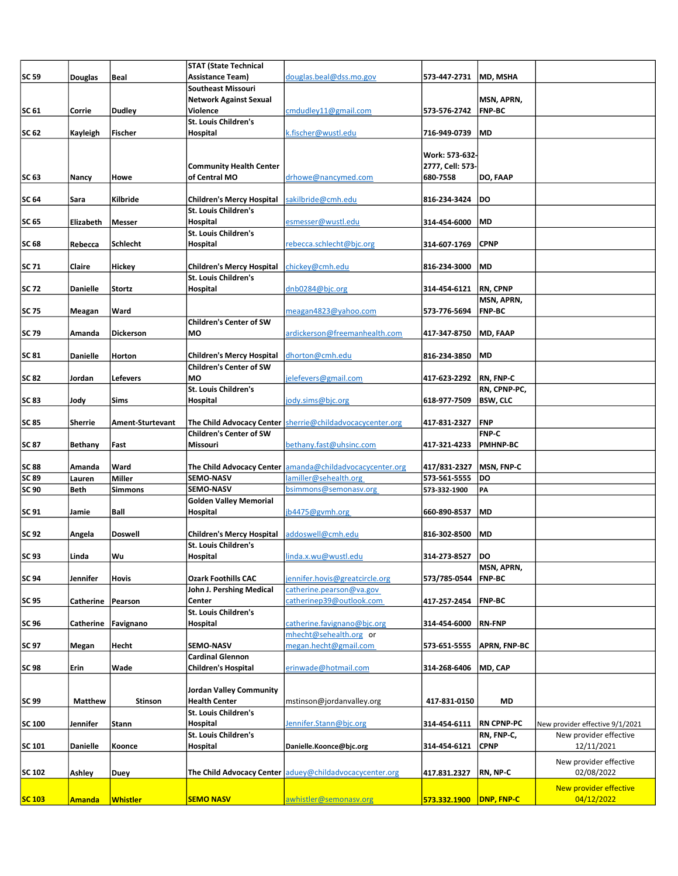|               |                 |                         | <b>STAT (State Technical</b>     |                                                                |                  |                     |                                 |
|---------------|-----------------|-------------------------|----------------------------------|----------------------------------------------------------------|------------------|---------------------|---------------------------------|
| <b>SC 59</b>  | <b>Douglas</b>  | Beal                    | <b>Assistance Team)</b>          | douglas.beal@dss.mo.gov                                        | 573-447-2731     | MD. MSHA            |                                 |
|               |                 |                         | <b>Southeast Missouri</b>        |                                                                |                  |                     |                                 |
|               |                 |                         |                                  |                                                                |                  |                     |                                 |
|               |                 |                         | <b>Network Against Sexual</b>    |                                                                |                  | MSN, APRN,          |                                 |
| <b>SC 61</b>  | Corrie          | <b>Dudley</b>           | Violence                         | cmdudley11@gmail.com                                           | 573-576-2742     | <b>FNP-BC</b>       |                                 |
|               |                 |                         | St. Louis Children's             |                                                                |                  |                     |                                 |
| SC 62         | Kayleigh        | Fischer                 | Hospital                         | k.fischer@wustl.edu                                            | 716-949-0739     | MD                  |                                 |
|               |                 |                         |                                  |                                                                |                  |                     |                                 |
|               |                 |                         |                                  |                                                                |                  |                     |                                 |
|               |                 |                         |                                  |                                                                | Work: 573-632-   |                     |                                 |
|               |                 |                         | <b>Community Health Center</b>   |                                                                | 2777, Cell: 573- |                     |                                 |
| SC 63         | Nancy           | Howe                    | of Central MO                    | drhowe@nancymed.com                                            | 680-7558         | DO, FAAP            |                                 |
|               |                 |                         |                                  |                                                                |                  |                     |                                 |
| <b>SC 64</b>  |                 | Kilbride                | <b>Children's Mercy Hospital</b> | sakilbride@cmh.edu                                             | 816-234-3424     | DO                  |                                 |
|               | Sara            |                         |                                  |                                                                |                  |                     |                                 |
|               |                 |                         | St. Louis Children's             |                                                                |                  |                     |                                 |
| SC 65         | Elizabeth       | <b>Messer</b>           | Hospital                         | esmesser@wustl.edu                                             | 314-454-6000     | MD                  |                                 |
|               |                 |                         | <b>St. Louis Children's</b>      |                                                                |                  |                     |                                 |
| <b>SC 68</b>  | Rebecca         | Schlecht                | Hospital                         | rebecca.schlecht@bjc.org                                       | 314-607-1769     | CPNP                |                                 |
|               |                 |                         |                                  |                                                                |                  |                     |                                 |
|               |                 |                         |                                  |                                                                |                  |                     |                                 |
| <b>SC 71</b>  | Claire          | Hickey                  | Children's Mercy Hospital        | chickey@cmh.edu                                                | 816-234-3000     | MD                  |                                 |
|               |                 |                         | <b>St. Louis Children's</b>      |                                                                |                  |                     |                                 |
| SC 72         | <b>Danielle</b> | <b>Stortz</b>           | Hospital                         | dnb0284@bjc.org                                                | 314-454-6121     | <b>RN, CPNP</b>     |                                 |
|               |                 |                         |                                  |                                                                |                  | MSN, APRN,          |                                 |
| <b>SC 75</b>  |                 | Ward                    |                                  | meagan4823@yahoo.com                                           |                  | <b>FNP-BC</b>       |                                 |
|               | Meagan          |                         |                                  |                                                                | 573-776-5694     |                     |                                 |
|               |                 |                         | <b>Children's Center of SW</b>   |                                                                |                  |                     |                                 |
| <b>SC 79</b>  | Amanda          | <b>Dickerson</b>        | MO                               | ardickerson@freemanhealth.com                                  | 417-347-8750     | MD, FAAP            |                                 |
|               |                 |                         |                                  |                                                                |                  |                     |                                 |
| <b>SC 81</b>  | <b>Danielle</b> | Horton                  | <b>Children's Mercy Hospital</b> | dhorton@cmh.edu                                                | 816-234-3850     | MD                  |                                 |
|               |                 |                         | <b>Children's Center of SW</b>   |                                                                |                  |                     |                                 |
|               |                 |                         |                                  |                                                                |                  |                     |                                 |
| <b>SC 82</b>  | Jordan          | Lefevers                | MO                               | jelefevers@gmail.com                                           | 417-623-2292     | <b>RN, FNP-C</b>    |                                 |
|               |                 |                         | St. Louis Children's             |                                                                |                  | RN, CPNP-PC,        |                                 |
| <b>SC 83</b>  | Jody            | Sims                    | Hospital                         | jody.sims@bjc.org                                              | 618-977-7509     | <b>BSW, CLC</b>     |                                 |
|               |                 |                         |                                  |                                                                |                  |                     |                                 |
|               |                 |                         |                                  |                                                                |                  |                     |                                 |
| SC 85         | Sherrie         | <b>Ament-Sturtevant</b> |                                  | The Child Advocacy Center   sherrie@childadvocacycenter.org    | 417-831-2327     | <b>FNP</b>          |                                 |
|               |                 |                         | <b>Children's Center of SW</b>   |                                                                |                  | FNP-C               |                                 |
| <b>SC 87</b>  | <b>Bethany</b>  | Fast                    | Missouri                         | bethany.fast@uhsinc.com                                        | 417-321-4233     | <b>PMHNP-BC</b>     |                                 |
|               |                 |                         |                                  |                                                                |                  |                     |                                 |
| <b>SC 88</b>  | Amanda          | Ward                    | The Child Advocacy Center        | amanda@childadvocacycenter.org                                 | 417/831-2327     | MSN, FNP-C          |                                 |
| <b>SC 89</b>  | Lauren          | <b>Miller</b>           | <b>SEMO-NASV</b>                 | lamiller@sehealth.org                                          | 573-561-5555     | DO                  |                                 |
|               |                 |                         |                                  |                                                                |                  |                     |                                 |
| <b>SC 90</b>  | <b>Beth</b>     | Simmons                 | SEMO-NASV                        | bsimmons@semonasv.org                                          | 573-332-1900     | PA                  |                                 |
|               |                 |                         | <b>Golden Valley Memorial</b>    |                                                                |                  |                     |                                 |
| SC 91         | Jamie           | Ball                    | Hospital                         | jb4475@gvmh.org                                                | 660-890-8537     | MD                  |                                 |
|               |                 |                         |                                  |                                                                |                  |                     |                                 |
| SC 92         |                 | <b>Doswell</b>          | <b>Children's Mercy Hospital</b> | addoswell@cmh.edu                                              |                  | MD                  |                                 |
|               | Angela          |                         |                                  |                                                                | 816-302-8500     |                     |                                 |
|               |                 |                         | St. Louis Children's             |                                                                |                  |                     |                                 |
| SC 93         | Linda           | Wu                      | Hospital                         | linda.x.wu@wustl.edu                                           | 314-273-8527     | DO                  |                                 |
|               |                 |                         |                                  |                                                                |                  | MSN, APRN,          |                                 |
| SC 94         | Jennifer        | Hovis                   | <b>Ozark Foothills CAC</b>       | ennifer.hovis@greatcircle.org                                  | 573/785-0544     | <b>FNP-BC</b>       |                                 |
|               |                 |                         | John J. Pershing Medical         | catherine.pearson@va.gov                                       |                  |                     |                                 |
|               |                 |                         |                                  |                                                                |                  |                     |                                 |
| SC 95         | Catherine       | Pearson                 | Center                           | catherinep39@outlook.com                                       | 417-257-2454     | <b>FNP-BC</b>       |                                 |
|               |                 |                         | St. Louis Children's             |                                                                |                  |                     |                                 |
| SC 96         | Catherine       | Favignano               | Hospital                         | catherine.favignano@bjc.org                                    | 314-454-6000     | <b>RN-FNP</b>       |                                 |
|               |                 |                         |                                  | mhecht@sehealth.org or                                         |                  |                     |                                 |
| SC 97         | Megan           | Hecht                   | SEMO-NASV                        | megan.hecht@gmail.com                                          | 573-651-5555     | <b>APRN, FNP-BC</b> |                                 |
|               |                 |                         |                                  |                                                                |                  |                     |                                 |
|               |                 |                         | <b>Cardinal Glennon</b>          |                                                                |                  |                     |                                 |
| <b>SC 98</b>  | Erin            | Wade                    | <b>Children's Hospital</b>       | erinwade@hotmail.com                                           | 314-268-6406     | MD, CAP             |                                 |
|               |                 |                         |                                  |                                                                |                  |                     |                                 |
|               |                 |                         | <b>Jordan Valley Community</b>   |                                                                |                  |                     |                                 |
| SC 99         | <b>Matthew</b>  | Stinson                 | <b>Health Center</b>             | mstinson@jordanvalley.org                                      | 417-831-0150     | MD                  |                                 |
|               |                 |                         | St. Louis Children's             |                                                                |                  |                     |                                 |
|               |                 |                         |                                  |                                                                |                  |                     |                                 |
| SC 100        | Jennifer        | Stann                   | Hospital                         | Jennifer.Stann@bjc.org                                         | 314-454-6111     | <b>RN CPNP-PC</b>   | New provider effective 9/1/2021 |
|               |                 |                         | St. Louis Children's             |                                                                |                  | RN, FNP-C,          | New provider effective          |
| SC 101        | <b>Danielle</b> | Koonce                  | Hospital                         | Danielle.Koonce@bjc.org                                        | 314-454-6121     | <b>CPNP</b>         | 12/11/2021                      |
|               |                 |                         |                                  |                                                                |                  |                     |                                 |
|               |                 |                         |                                  |                                                                |                  |                     | New provider effective          |
| SC 102        | Ashley          | Duey                    |                                  | <b>The Child Advocacy Center aduey@childadvocacycenter.org</b> | 417.831.2327     | RN, NP-C            | 02/08/2022                      |
|               |                 |                         |                                  |                                                                |                  |                     |                                 |
|               |                 |                         |                                  |                                                                |                  |                     | New provider effective          |
| <b>SC 103</b> | <b>Amanda</b>   | <b>Whistler</b>         | <b>SEMO NASV</b>                 | awhistler@semonasv.org                                         | 573.332.1900     | <b>DNP, FNP-C</b>   | 04/12/2022                      |